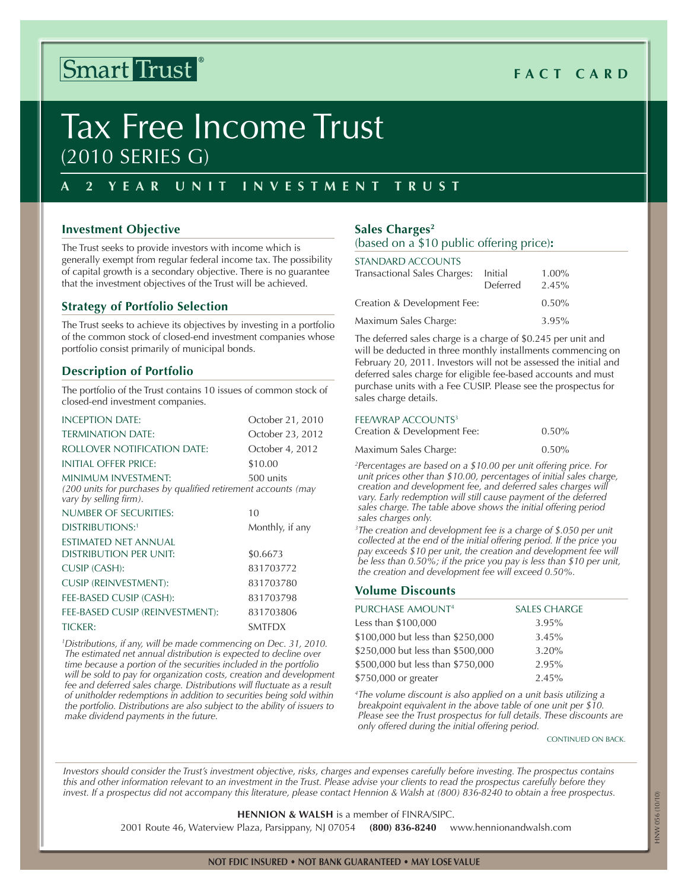## Smart Trust

## **Fact C ard**

# Tax Free Income Trust (2010 Series G)

#### **A 2 Year Unit I nvestment T r u s t**

#### **Investment Objective**

The Trust seeks to provide investors with income which is generally exempt from regular federal income tax. The possibility of capital growth is a secondary objective. There is no guarantee that the investment objectives of the Trust will be achieved.

#### **Strategy of Portfolio Selection**

The Trust seeks to achieve its objectives by investing in a portfolio of the common stock of closed-end investment companies whose portfolio consist primarily of municipal bonds.

#### **Description of Portfolio**

The portfolio of the Trust contains 10 issues of common stock of closed-end investment companies.

| <b>INCEPTION DATE:</b>                                                                                          | October 21, 2010 |
|-----------------------------------------------------------------------------------------------------------------|------------------|
| <b>TERMINATION DATE:</b>                                                                                        | October 23, 2012 |
| ROLLOVER NOTIFICATION DATE:                                                                                     | October 4, 2012  |
| INITIAL OFFER PRICE:                                                                                            | \$10.00          |
| MINIMUM INVESTMENT:<br>(200 units for purchases by qualified retirement accounts (may<br>vary by selling firm). | 500 units        |
| NUMBER OF SECURITIES:                                                                                           | 10               |
| <b>DISTRIBUTIONS:1</b>                                                                                          | Monthly, if any  |
| ESTIMATED NET ANNUAL                                                                                            |                  |
| DISTRIBUTION PER UNIT:                                                                                          | \$0.6673         |
| CUSIP (CASH):                                                                                                   | 831703772        |
| <b>CUSIP (REINVESTMENT):</b>                                                                                    | 831703780        |
| FEE-BASED CUSIP (CASH):                                                                                         | 831703798        |
| FEE-BASED CUSIP (REINVESTMENT):                                                                                 | 831703806        |
| <b>TICKER:</b>                                                                                                  | <b>SMTFDX</b>    |
|                                                                                                                 |                  |

*1 Distributions, if any, will be made commencing on Dec. 31, 2010. The estimated net annual distribution is expected to decline over time because a portion of the securities included in the portfolio will be sold to pay for organization costs, creation and development fee and deferred sales charge. Distributions will fluctuate as a result of unitholder redemptions in addition to securities being sold within the portfolio. Distributions are also subject to the ability of issuers to make dividend payments in the future.*

#### Sales Charges<sup>2</sup> (based on a \$10 public offering price)**:**

| <b>STANDARD ACCOUNTS</b><br>Transactional Sales Charges: | Initial<br>Deferred | $1.00\%$<br>2.45% |
|----------------------------------------------------------|---------------------|-------------------|
| Creation & Development Fee:                              |                     | $0.50\%$          |
| Maximum Sales Charge:                                    |                     | 3.95%             |

The deferred sales charge is a charge of \$0.245 per unit and will be deducted in three monthly installments commencing on February 20, 2011. Investors will not be assessed the initial and deferred sales charge for eligible fee-based accounts and must purchase units with a Fee CUSIP. Please see the prospectus for sales charge details.

#### FEE/WRAP ACCOUNTS<sup>3</sup>

| Creation & Development Fee: | $0.50\%$ |
|-----------------------------|----------|
| Maximum Sales Charge:       | $0.50\%$ |

*2 Percentages are based on a \$10.00 per unit offering price. For unit prices other than \$10.00, percentages of initial sales charge, creation and development fee, and deferred sales charges will vary. Early redemption will still cause payment of the deferred sales charge. The table above shows the initial offering period sales charges only.* 

*3 The creation and development fee is a charge of \$.050 per unit collected at the end of the initial offering period. If the price you pay exceeds \$10 per unit, the creation and development fee will be less than 0.50%; if the price you pay is less than \$10 per unit, the creation and development fee will exceed 0.50%.*

#### **Volume Discounts**

| PURCHASE AMOUNT <sup>4</sup>      | <b>SALES CHARGE</b> |
|-----------------------------------|---------------------|
| Less than \$100,000               | 3.95%               |
| \$100,000 but less than \$250,000 | 3.45%               |
| \$250,000 but less than \$500,000 | 3.20%               |
| \$500,000 but less than \$750,000 | 2.95%               |
| \$750,000 or greater              | 2.45%               |

*4 The volume discount is also applied on a unit basis utilizing a breakpoint equivalent in the above table of one unit per \$10. Please see the Trust prospectus for full details. These discounts are only offered during the initial offering period.*

**CONTINUED ON BACK.** 

*Investors should consider the Trust's investment objective, risks, charges and expenses carefully before investing. The prospectus contains this and other information relevant to an investment in the Trust. Please advise your clients to read the prospectus carefully before they invest. If a prospectus did not accompany this literature, please contact Hennion & Walsh at (800) 836-8240 to obtain a free prospectus.*

**Hennion & Walsh** is a member of FINRA/SIPC.

2001 Route 46, Waterview Plaza, Parsippany, NJ 07054 **(800) 836-8240** www.hennionandwalsh.com

HNW 056 (10/10)

#### **Not FDIC insured • Not bank guaranteed • May lose value**